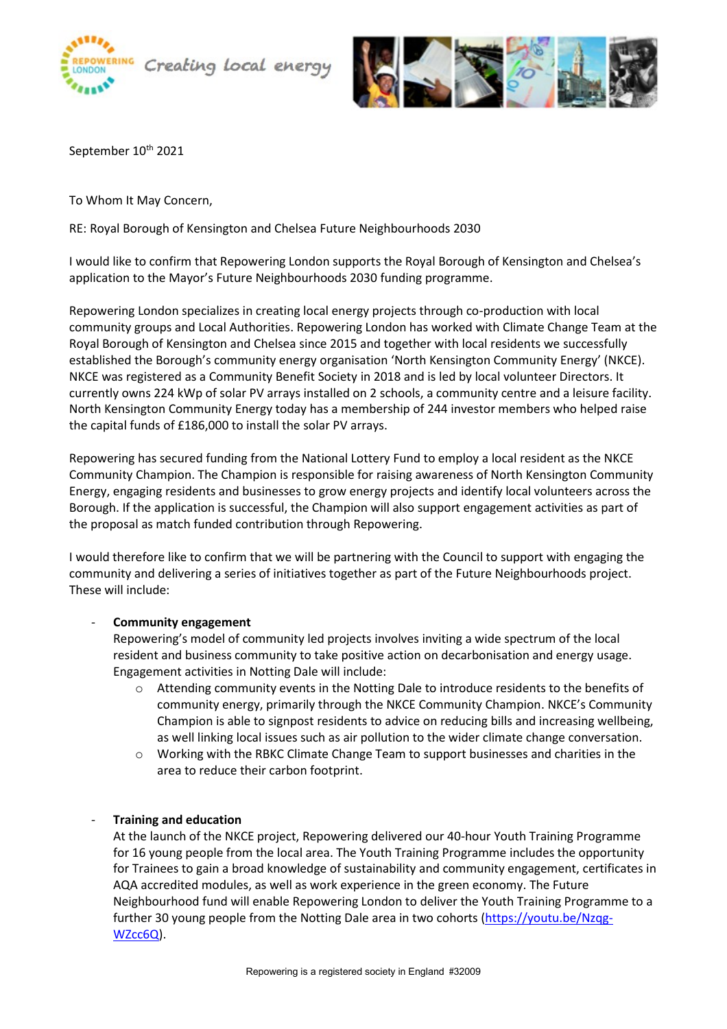



September 10<sup>th</sup> 2021

To Whom It May Concern,

RE: Royal Borough of Kensington and Chelsea Future Neighbourhoods 2030

I would like to confirm that Repowering London supports the Royal Borough of Kensington and Chelsea's application to the Mayor's Future Neighbourhoods 2030 funding programme.

Repowering London specializes in creating local energy projects through co-production with local community groups and Local Authorities. Repowering London has worked with Climate Change Team at the Royal Borough of Kensington and Chelsea since 2015 and together with local residents we successfully established the Borough's community energy organisation 'North Kensington Community Energy' (NKCE). NKCE was registered as a Community Benefit Society in 2018 and is led by local volunteer Directors. It currently owns 224 kWp of solar PV arrays installed on 2 schools, a community centre and a leisure facility. North Kensington Community Energy today has a membership of 244 investor members who helped raise the capital funds of £186,000 to install the solar PV arrays.

Repowering has secured funding from the National Lottery Fund to employ a local resident as the NKCE Community Champion. The Champion is responsible for raising awareness of North Kensington Community Energy, engaging residents and businesses to grow energy projects and identify local volunteers across the Borough. If the application is successful, the Champion will also support engagement activities as part of the proposal as match funded contribution through Repowering.

I would therefore like to confirm that we will be partnering with the Council to support with engaging the community and delivering a series of initiatives together as part of the Future Neighbourhoods project. These will include:

## - **Community engagement**

Repowering's model of community led projects involves inviting a wide spectrum of the local resident and business community to take positive action on decarbonisation and energy usage. Engagement activities in Notting Dale will include:

- o Attending community events in the Notting Dale to introduce residents to the benefits of community energy, primarily through the NKCE Community Champion. NKCE's Community Champion is able to signpost residents to advice on reducing bills and increasing wellbeing, as well linking local issues such as air pollution to the wider climate change conversation.
- o Working with the RBKC Climate Change Team to support businesses and charities in the area to reduce their carbon footprint.

## - **Training and education**

At the launch of the NKCE project, Repowering delivered our 40-hour Youth Training Programme for 16 young people from the local area. The Youth Training Programme includes the opportunity for Trainees to gain a broad knowledge of sustainability and community engagement, certificates in AQA accredited modules, as well as work experience in the green economy. The Future Neighbourhood fund will enable Repowering London to deliver the Youth Training Programme to a further 30 young people from the Notting Dale area in two cohorts [\(https://youtu.be/Nzqg-](https://youtu.be/Nzqg-WZcc6Q)[WZcc6Q\)](https://youtu.be/Nzqg-WZcc6Q).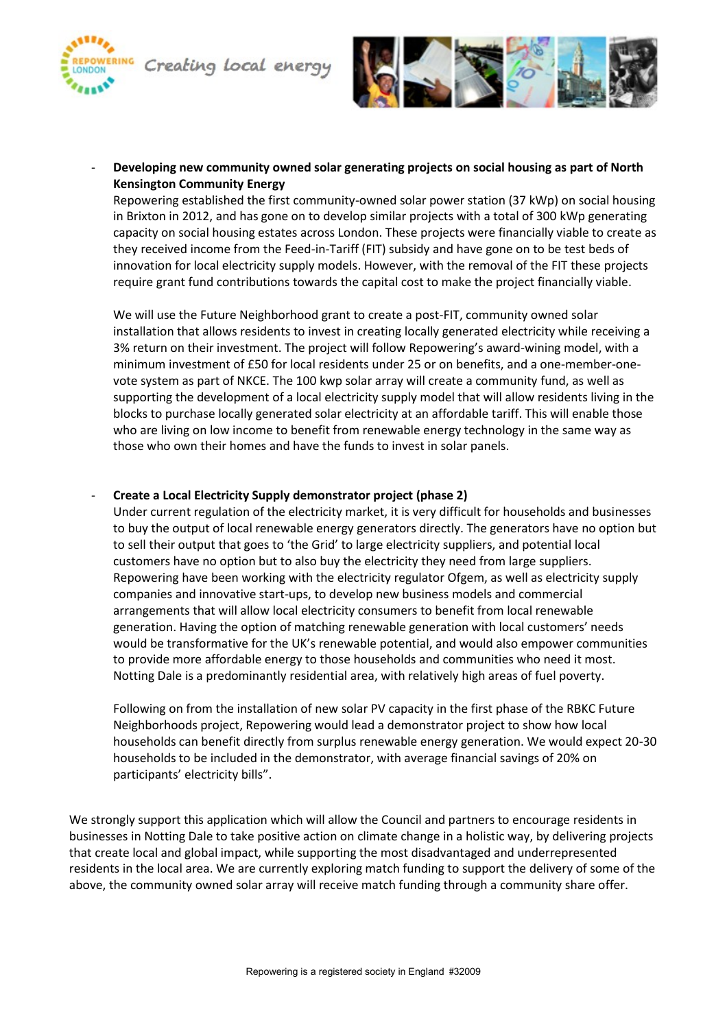



- **Developing new community owned solar generating projects on social housing as part of North Kensington Community Energy**

Repowering established the first community-owned solar power station (37 kWp) on social housing in Brixton in 2012, and has gone on to develop similar projects with a total of 300 kWp generating capacity on social housing estates across London. These projects were financially viable to create as they received income from the Feed-in-Tariff (FIT) subsidy and have gone on to be test beds of innovation for local electricity supply models. However, with the removal of the FIT these projects require grant fund contributions towards the capital cost to make the project financially viable.

We will use the Future Neighborhood grant to create a post-FIT, community owned solar installation that allows residents to invest in creating locally generated electricity while receiving a 3% return on their investment. The project will follow Repowering's award-wining model, with a minimum investment of £50 for local residents under 25 or on benefits, and a one-member-onevote system as part of NKCE. The 100 kwp solar array will create a community fund, as well as supporting the development of a local electricity supply model that will allow residents living in the blocks to purchase locally generated solar electricity at an affordable tariff. This will enable those who are living on low income to benefit from renewable energy technology in the same way as those who own their homes and have the funds to invest in solar panels.

## - **Create a Local Electricity Supply demonstrator project (phase 2)**

Under current regulation of the electricity market, it is very difficult for households and businesses to buy the output of local renewable energy generators directly. The generators have no option but to sell their output that goes to 'the Grid' to large electricity suppliers, and potential local customers have no option but to also buy the electricity they need from large suppliers. Repowering have been working with the electricity regulator Ofgem, as well as electricity supply companies and innovative start-ups, to develop new business models and commercial arrangements that will allow local electricity consumers to benefit from local renewable generation. Having the option of matching renewable generation with local customers' needs would be transformative for the UK's renewable potential, and would also empower communities to provide more affordable energy to those households and communities who need it most. Notting Dale is a predominantly residential area, with relatively high areas of fuel poverty.

Following on from the installation of new solar PV capacity in the first phase of the RBKC Future Neighborhoods project, Repowering would lead a demonstrator project to show how local households can benefit directly from surplus renewable energy generation. We would expect 20-30 households to be included in the demonstrator, with average financial savings of 20% on participants' electricity bills".

We strongly support this application which will allow the Council and partners to encourage residents in businesses in Notting Dale to take positive action on climate change in a holistic way, by delivering projects that create local and global impact, while supporting the most disadvantaged and underrepresented residents in the local area. We are currently exploring match funding to support the delivery of some of the above, the community owned solar array will receive match funding through a community share offer.